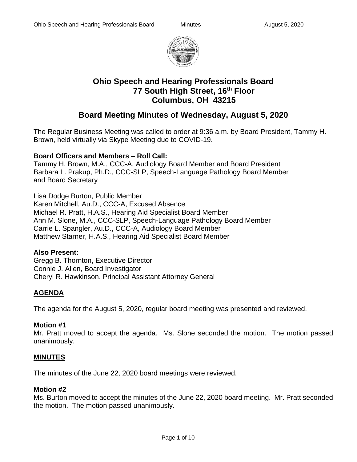

# **Ohio Speech and Hearing Professionals Board 77 South High Street, 16th Floor Columbus, OH 43215**

# **Board Meeting Minutes of Wednesday, August 5, 2020**

The Regular Business Meeting was called to order at 9:36 a.m. by Board President, Tammy H. Brown, held virtually via Skype Meeting due to COVID-19.

#### **Board Officers and Members – Roll Call:**

Tammy H. Brown, M.A., CCC-A, Audiology Board Member and Board President Barbara L. Prakup, Ph.D., CCC-SLP, Speech-Language Pathology Board Member and Board Secretary

Lisa Dodge Burton, Public Member Karen Mitchell, Au.D., CCC-A, Excused Absence Michael R. Pratt, H.A.S., Hearing Aid Specialist Board Member Ann M. Slone, M.A., CCC-SLP, Speech-Language Pathology Board Member Carrie L. Spangler, Au.D., CCC-A, Audiology Board Member Matthew Starner, H.A.S., Hearing Aid Specialist Board Member

#### **Also Present:**

Gregg B. Thornton, Executive Director Connie J. Allen, Board Investigator Cheryl R. Hawkinson, Principal Assistant Attorney General

# **AGENDA**

The agenda for the August 5, 2020, regular board meeting was presented and reviewed.

# **Motion #1**

Mr. Pratt moved to accept the agenda. Ms. Slone seconded the motion. The motion passed unanimously.

# **MINUTES**

The minutes of the June 22, 2020 board meetings were reviewed.

#### **Motion #2**

Ms. Burton moved to accept the minutes of the June 22, 2020 board meeting. Mr. Pratt seconded the motion. The motion passed unanimously.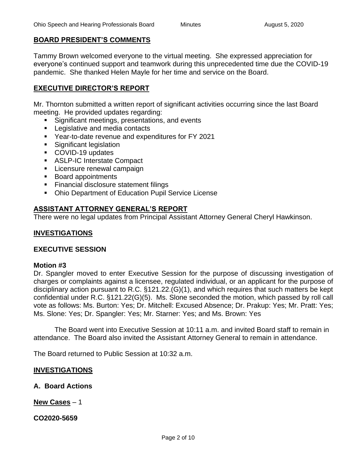#### **BOARD PRESIDENT'S COMMENTS**

Tammy Brown welcomed everyone to the virtual meeting. She expressed appreciation for everyone's continued support and teamwork during this unprecedented time due the COVID-19 pandemic. She thanked Helen Mayle for her time and service on the Board.

#### **EXECUTIVE DIRECTOR'S REPORT**

Mr. Thornton submitted a written report of significant activities occurring since the last Board meeting. He provided updates regarding:

- Significant meetings, presentations, and events
- Legislative and media contacts
- Year-to-date revenue and expenditures for FY 2021
- Significant legislation
- COVID-19 updates
- ASLP-IC Interstate Compact
- **EXEC** Licensure renewal campaign
- Board appointments
- Financial disclosure statement filings
- Ohio Department of Education Pupil Service License

#### **ASSISTANT ATTORNEY GENERAL'S REPORT**

There were no legal updates from Principal Assistant Attorney General Cheryl Hawkinson.

#### **INVESTIGATIONS**

#### **EXECUTIVE SESSION**

#### **Motion #3**

Dr. Spangler moved to enter Executive Session for the purpose of discussing investigation of charges or complaints against a licensee, regulated individual, or an applicant for the purpose of disciplinary action pursuant to R.C. §121.22.(G)(1), and which requires that such matters be kept confidential under R.C. §121.22(G)(5). Ms. Slone seconded the motion, which passed by roll call vote as follows: Ms. Burton: Yes; Dr. Mitchell: Excused Absence; Dr. Prakup: Yes; Mr. Pratt: Yes; Ms. Slone: Yes; Dr. Spangler: Yes; Mr. Starner: Yes; and Ms. Brown: Yes

The Board went into Executive Session at 10:11 a.m. and invited Board staff to remain in attendance. The Board also invited the Assistant Attorney General to remain in attendance.

The Board returned to Public Session at 10:32 a.m.

#### **INVESTIGATIONS**

#### **A. Board Actions**

**New Cases** – 1

**CO2020-5659**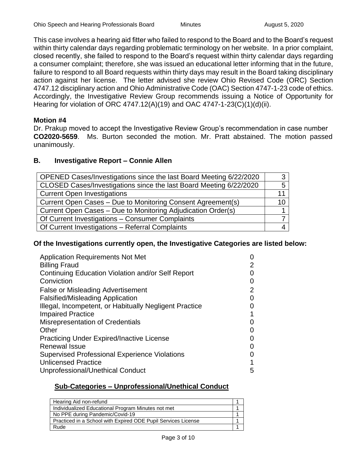This case involves a hearing aid fitter who failed to respond to the Board and to the Board's request within thirty calendar days regarding problematic terminology on her website. In a prior complaint, closed recently, she failed to respond to the Board's request within thirty calendar days regarding a consumer complaint; therefore, she was issued an educational letter informing that in the future, failure to respond to all Board requests within thirty days may result in the Board taking disciplinary action against her license. The letter advised she review Ohio Revised Code (ORC) Section 4747.12 disciplinary action and Ohio Administrative Code (OAC) Section 4747-1-23 code of ethics. Accordingly, the Investigative Review Group recommends issuing a Notice of Opportunity for Hearing for violation of ORC 4747.12(A)(19) and OAC 4747-1-23(C)(1)(d)(ii).

#### **Motion #4**

Dr. Prakup moved to accept the Investigative Review Group's recommendation in case number **CO2020-5659**. Ms. Burton seconded the motion. Mr. Pratt abstained. The motion passed unanimously.

#### **B. Investigative Report – Connie Allen**

| OPENED Cases/Investigations since the last Board Meeting 6/22/2020 |    |
|--------------------------------------------------------------------|----|
| CLOSED Cases/Investigations since the last Board Meeting 6/22/2020 |    |
| <b>Current Open Investigations</b>                                 | 11 |
| Current Open Cases - Due to Monitoring Consent Agreement(s)        | 10 |
| Current Open Cases - Due to Monitoring Adjudication Order(s)       |    |
| Of Current Investigations - Consumer Complaints                    |    |
| Of Current Investigations - Referral Complaints                    |    |

#### **Of the Investigations currently open, the Investigative Categories are listed below:**

| <b>Application Requirements Not Met</b>                |   |
|--------------------------------------------------------|---|
| <b>Billing Fraud</b>                                   | 2 |
| Continuing Education Violation and/or Self Report      |   |
| Conviction                                             |   |
| <b>False or Misleading Advertisement</b>               | 2 |
| <b>Falsified/Misleading Application</b>                |   |
| Illegal, Incompetent, or Habitually Negligent Practice |   |
| <b>Impaired Practice</b>                               |   |
| <b>Misrepresentation of Credentials</b>                |   |
| Other                                                  |   |
| <b>Practicing Under Expired/Inactive License</b>       |   |
| <b>Renewal Issue</b>                                   |   |
| <b>Supervised Professional Experience Violations</b>   |   |
| <b>Unlicensed Practice</b>                             |   |
| Unprofessional/Unethical Conduct                       | 5 |

#### **Sub-Categories – Unprofessional/Unethical Conduct**

| Hearing Aid non-refund                                        |  |
|---------------------------------------------------------------|--|
| Individualized Educational Program Minutes not met            |  |
| No PPE during Pandemic/Covid-19                               |  |
| Practiced in a School with Expired ODE Pupil Services License |  |
| Rude                                                          |  |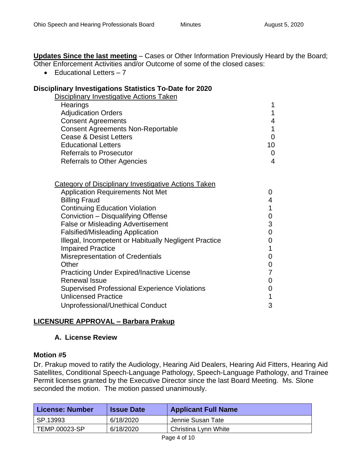**Updates Since the last meeting** – Cases or Other Information Previously Heard by the Board; Other Enforcement Activities and/or Outcome of some of the closed cases:

 $\bullet$  Fducational Letters  $-7$ 

#### **Disciplinary Investigations Statistics To-Date for 2020**

| Disciplinary Investigative Actions Taken |    |
|------------------------------------------|----|
| Hearings                                 |    |
| <b>Adjudication Orders</b>               |    |
| <b>Consent Agreements</b>                |    |
| <b>Consent Agreements Non-Reportable</b> |    |
| <b>Cease &amp; Desist Letters</b>        |    |
| <b>Educational Letters</b>               | 10 |
| <b>Referrals to Prosecutor</b>           | 0  |
| <b>Referrals to Other Agencies</b>       | 4  |

| <b>Category of Disciplinary Investigative Actions Taken</b> |   |
|-------------------------------------------------------------|---|
| <b>Application Requirements Not Met</b>                     | 0 |
| <b>Billing Fraud</b>                                        | 4 |
| <b>Continuing Education Violation</b>                       | 1 |
| Conviction - Disqualifying Offense                          | 0 |
| <b>False or Misleading Advertisement</b>                    | 3 |
| <b>Falsified/Misleading Application</b>                     | 0 |
| Illegal, Incompetent or Habitually Negligent Practice       |   |
| <b>Impaired Practice</b>                                    | 1 |
| <b>Misrepresentation of Credentials</b>                     | 0 |
| Other                                                       | 0 |
| <b>Practicing Under Expired/Inactive License</b>            | 7 |
| <b>Renewal Issue</b>                                        | 0 |
| <b>Supervised Professional Experience Violations</b>        | 0 |
| <b>Unlicensed Practice</b>                                  | 1 |
| Unprofessional/Unethical Conduct                            | 3 |
|                                                             |   |

#### **LICENSURE APPROVAL – Barbara Prakup**

#### **A. License Review**

#### **Motion #5**

Dr. Prakup moved to ratify the Audiology, Hearing Aid Dealers, Hearing Aid Fitters, Hearing Aid Satellites, Conditional Speech-Language Pathology, Speech-Language Pathology, and Trainee Permit licenses granted by the Executive Director since the last Board Meeting. Ms. Slone seconded the motion. The motion passed unanimously.

| License: Number | <b>Issue Date</b> | <b>Applicant Full Name</b> |
|-----------------|-------------------|----------------------------|
| SP.13993        | 6/18/2020         | Jennie Susan Tate          |
| TEMP.00023-SP   | 6/18/2020         | Christina Lynn White       |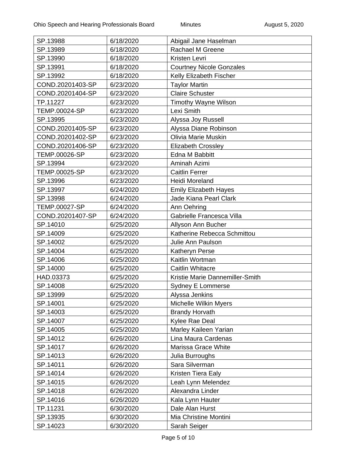| SP.13988             | 6/18/2020 | Abigail Jane Haselman           |
|----------------------|-----------|---------------------------------|
| SP.13989             | 6/18/2020 | <b>Rachael M Greene</b>         |
| SP.13990             | 6/18/2020 | Kristen Levri                   |
| SP.13991             | 6/18/2020 | <b>Courtney Nicole Gonzales</b> |
| SP.13992             | 6/18/2020 | Kelly Elizabeth Fischer         |
| COND.20201403-SP     | 6/23/2020 | <b>Taylor Martin</b>            |
| COND.20201404-SP     | 6/23/2020 | <b>Claire Schuster</b>          |
| TP.11227             | 6/23/2020 | <b>Timothy Wayne Wilson</b>     |
| <b>TEMP.00024-SP</b> | 6/23/2020 | Lexi Smith                      |
| SP.13995             | 6/23/2020 | Alyssa Joy Russell              |
| COND.20201405-SP     | 6/23/2020 | Alyssa Diane Robinson           |
| COND.20201402-SP     | 6/23/2020 | <b>Olivia Marie Muskin</b>      |
| COND.20201406-SP     | 6/23/2020 | <b>Elizabeth Crossley</b>       |
| <b>TEMP.00026-SP</b> | 6/23/2020 | Edna M Babbitt                  |
| SP.13994             | 6/23/2020 | Aminah Azimi                    |
| TEMP.00025-SP        | 6/23/2020 | <b>Caitlin Ferrer</b>           |
| SP.13996             | 6/23/2020 | Heidi Moreland                  |
| SP.13997             | 6/24/2020 | <b>Emily Elizabeth Hayes</b>    |
| SP.13998             | 6/24/2020 | Jade Kiana Pearl Clark          |
| TEMP.00027-SP        | 6/24/2020 | Ann Oehring                     |
| COND.20201407-SP     | 6/24/2020 | Gabrielle Francesca Villa       |
| SP.14010             | 6/25/2020 | Allyson Ann Bucher              |
| SP.14009             | 6/25/2020 | Katherine Rebecca Schmittou     |
| SP.14002             | 6/25/2020 | Julie Ann Paulson               |
| SP.14004             | 6/25/2020 | Katheryn Perse                  |
| SP.14006             | 6/25/2020 | Kaitlin Wortman                 |
| SP.14000             | 6/25/2020 | <b>Caitlin Whitacre</b>         |
| HAD.03373            | 6/25/2020 | Kristie Marie Dannemiller-Smith |
| SP.14008             | 6/25/2020 | Sydney E Lommerse               |
| SP.13999             | 6/25/2020 | Alyssa Jenkins                  |
| SP.14001             | 6/25/2020 | <b>Michelle Wilkin Myers</b>    |
| SP.14003             | 6/25/2020 | <b>Brandy Horvath</b>           |
| SP.14007             | 6/25/2020 | Kylee Rae Deal                  |
| SP.14005             | 6/25/2020 | Marley Kaileen Yarian           |
| SP.14012             | 6/26/2020 | Lina Maura Cardenas             |
| SP.14017             | 6/26/2020 | Marissa Grace White             |
| SP.14013             | 6/26/2020 | Julia Burroughs                 |
| SP.14011             | 6/26/2020 | Sara Silverman                  |
| SP.14014             | 6/26/2020 | Kristen Tiera Ealy              |
| SP.14015             | 6/26/2020 | Leah Lynn Melendez              |
| SP.14018             | 6/26/2020 | Alexandra Linder                |
| SP.14016             | 6/26/2020 | Kala Lynn Hauter                |
| TP.11231             | 6/30/2020 | Dale Alan Hurst                 |
| SP.13935             | 6/30/2020 | Mia Christine Montini           |
| SP.14023             | 6/30/2020 | Sarah Seiger                    |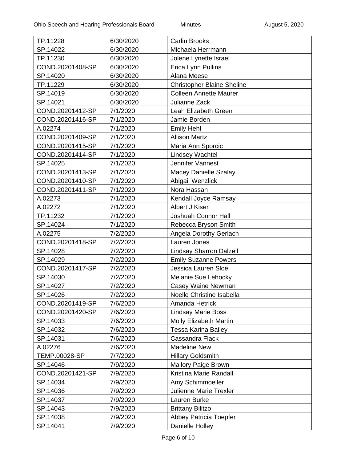| TP.11228         | 6/30/2020 | <b>Carlin Brooks</b>              |
|------------------|-----------|-----------------------------------|
| SP.14022         | 6/30/2020 | Michaela Herrmann                 |
| TP.11230         | 6/30/2020 | Jolene Lynette Israel             |
| COND.20201408-SP | 6/30/2020 | Erica Lynn Pullins                |
| SP.14020         | 6/30/2020 | Alana Meese                       |
| TP.11229         | 6/30/2020 | <b>Christopher Blaine Sheline</b> |
| SP.14019         | 6/30/2020 | <b>Colleen Annette Maurer</b>     |
| SP.14021         | 6/30/2020 | Julianne Zack                     |
| COND.20201412-SP | 7/1/2020  | Leah Elizabeth Green              |
| COND.20201416-SP | 7/1/2020  | Jamie Borden                      |
| A.02274          | 7/1/2020  | <b>Emily Hehl</b>                 |
| COND.20201409-SP | 7/1/2020  | <b>Allison Martz</b>              |
| COND.20201415-SP | 7/1/2020  | Maria Ann Sporcic                 |
| COND.20201414-SP | 7/1/2020  | <b>Lindsey Wachtel</b>            |
| SP.14025         | 7/1/2020  | Jennifer Vannest                  |
| COND.20201413-SP | 7/1/2020  | <b>Macey Danielle Szalay</b>      |
| COND.20201410-SP | 7/1/2020  | Abigail Wenzlick                  |
| COND.20201411-SP | 7/1/2020  | Nora Hassan                       |
| A.02273          | 7/1/2020  | Kendall Joyce Ramsay              |
| A.02272          | 7/1/2020  | Albert J Kiser                    |
| TP.11232         | 7/1/2020  | Joshuah Connor Hall               |
| SP.14024         | 7/1/2020  | Rebecca Bryson Smith              |
| A.02275          | 7/2/2020  | Angela Dorothy Gerlach            |
| COND.20201418-SP | 7/2/2020  | Lauren Jones                      |
| SP.14028         | 7/2/2020  | <b>Lindsay Sharron Dalzell</b>    |
| SP.14029         | 7/2/2020  | <b>Emily Suzanne Powers</b>       |
| COND.20201417-SP | 7/2/2020  | Jessica Lauren Sloe               |
| SP.14030         | 7/2/2020  | Melanie Sue Lehocky               |
| SP.14027         | 7/2/2020  | Casey Waine Newman                |
| SP.14026         | 7/2/2020  | Noelle Christine Isabella         |
| COND.20201419-SP | 7/6/2020  | Amanda Hetrick                    |
| COND.20201420-SP | 7/6/2020  | <b>Lindsay Marie Boss</b>         |
| SP.14033         | 7/6/2020  | <b>Molly Elizabeth Martin</b>     |
| SP.14032         | 7/6/2020  | <b>Tessa Karina Bailey</b>        |
| SP.14031         | 7/6/2020  | Cassandra Flack                   |
| A.02276          | 7/6/2020  | <b>Madeline New</b>               |
| TEMP.00028-SP    | 7/7/2020  | <b>Hillary Goldsmith</b>          |
| SP.14046         | 7/9/2020  | <b>Mallory Paige Brown</b>        |
| COND.20201421-SP | 7/9/2020  | Kristina Marie Randall            |
| SP.14034         | 7/9/2020  | Amy Schimmoeller                  |
| SP.14036         | 7/9/2020  | Julienne Marie Trexler            |
| SP.14037         | 7/9/2020  | Lauren Burke                      |
| SP.14043         | 7/9/2020  | <b>Brittany Bilitzo</b>           |
| SP.14038         | 7/9/2020  | Abbey Patricia Toepfer            |
| SP.14041         | 7/9/2020  | Danielle Holley                   |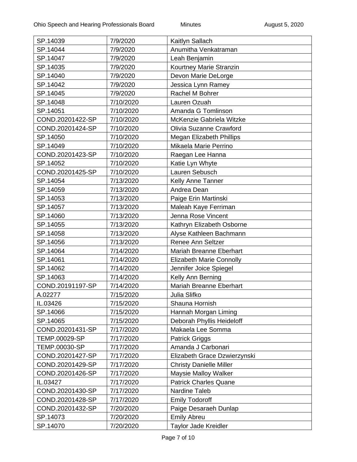| SP.14039         | 7/9/2020  | Kaitlyn Sallach                 |
|------------------|-----------|---------------------------------|
| SP.14044         | 7/9/2020  | Anumitha Venkatraman            |
| SP.14047         | 7/9/2020  | Leah Benjamin                   |
| SP.14035         | 7/9/2020  | Kourtney Marie Stranzin         |
| SP.14040         | 7/9/2020  | Devon Marie DeLorge             |
| SP.14042         | 7/9/2020  | Jessica Lynn Ramey              |
| SP.14045         | 7/9/2020  | Rachel M Bohrer                 |
| SP.14048         | 7/10/2020 | Lauren Ozuah                    |
| SP.14051         | 7/10/2020 | Amanda G Tomlinson              |
| COND.20201422-SP | 7/10/2020 | McKenzie Gabriela Witzke        |
| COND.20201424-SP | 7/10/2020 | Olivia Suzanne Crawford         |
| SP.14050         | 7/10/2020 | <b>Megan Elizabeth Phillips</b> |
| SP.14049         | 7/10/2020 | Mikaela Marie Perrino           |
| COND.20201423-SP | 7/10/2020 | Raegan Lee Hanna                |
| SP.14052         | 7/10/2020 | Katie Lyn Whyte                 |
| COND.20201425-SP | 7/10/2020 | Lauren Sebusch                  |
| SP.14054         | 7/13/2020 | Kelly Anne Tanner               |
| SP.14059         | 7/13/2020 | Andrea Dean                     |
| SP.14053         | 7/13/2020 | Paige Erin Martinski            |
| SP.14057         | 7/13/2020 | Maleah Kaye Ferriman            |
| SP.14060         | 7/13/2020 | Jenna Rose Vincent              |
| SP.14055         | 7/13/2020 | Kathryn Elizabeth Osborne       |
| SP.14058         | 7/13/2020 | Alyse Kathleen Bachmann         |
| SP.14056         | 7/13/2020 | Renee Ann Seltzer               |
| SP.14064         | 7/14/2020 | Mariah Breanne Eberhart         |
| SP.14061         | 7/14/2020 | <b>Elizabeth Marie Connolly</b> |
| SP.14062         | 7/14/2020 | Jennifer Joice Spiegel          |
| SP.14063         | 7/14/2020 | Kelly Ann Berning               |
| COND.20191197-SP | 7/14/2020 | Mariah Breanne Eberhart         |
| A.02277          | 7/15/2020 | Julia Slifko                    |
| IL.03426         | 7/15/2020 | Shauna Hornish                  |
| SP.14066         | 7/15/2020 | Hannah Morgan Liming            |
| SP.14065         | 7/15/2020 | Deborah Phyllis Heideloff       |
| COND.20201431-SP | 7/17/2020 | Makaela Lee Somma               |
| TEMP.00029-SP    | 7/17/2020 | <b>Patrick Griggs</b>           |
| TEMP.00030-SP    | 7/17/2020 | Amanda J Carbonari              |
| COND.20201427-SP | 7/17/2020 | Elizabeth Grace Dzwierzynski    |
| COND.20201429-SP | 7/17/2020 | <b>Christy Danielle Miller</b>  |
| COND.20201426-SP | 7/17/2020 | Maysie Malloy Walker            |
| IL.03427         | 7/17/2020 | <b>Patrick Charles Quane</b>    |
| COND.20201430-SP | 7/17/2020 | Nardine Taleb                   |
| COND.20201428-SP | 7/17/2020 | <b>Emily Todoroff</b>           |
| COND.20201432-SP | 7/20/2020 | Paige Desaraeh Dunlap           |
| SP.14073         | 7/20/2020 | <b>Emily Abreu</b>              |
| SP.14070         | 7/20/2020 | Taylor Jade Kreidler            |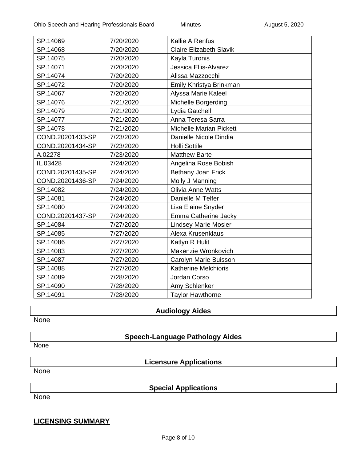| SP.14069         | 7/20/2020 | Kallie A Renfus                |
|------------------|-----------|--------------------------------|
| SP.14068         | 7/20/2020 | <b>Claire Elizabeth Slavik</b> |
| SP.14075         | 7/20/2020 | Kayla Turonis                  |
| SP.14071         | 7/20/2020 | Jessica Ellis-Alvarez          |
| SP.14074         | 7/20/2020 | Alissa Mazzocchi               |
| SP.14072         | 7/20/2020 | Emily Khristya Brinkman        |
| SP.14067         | 7/20/2020 | Alyssa Marie Kaleel            |
| SP.14076         | 7/21/2020 | Michelle Borgerding            |
| SP.14079         | 7/21/2020 | Lydia Gatchell                 |
| SP.14077         | 7/21/2020 | Anna Teresa Sarra              |
| SP.14078         | 7/21/2020 | <b>Michelle Marian Pickett</b> |
| COND.20201433-SP | 7/23/2020 | Danielle Nicole Dindia         |
| COND.20201434-SP | 7/23/2020 | <b>Holli Sottile</b>           |
| A.02278          | 7/23/2020 | <b>Matthew Barte</b>           |
| IL.03428         | 7/24/2020 | Angelina Rose Bobish           |
| COND.20201435-SP | 7/24/2020 | Bethany Joan Frick             |
| COND.20201436-SP | 7/24/2020 | Molly J Manning                |
| SP.14082         | 7/24/2020 | <b>Olivia Anne Watts</b>       |
| SP.14081         | 7/24/2020 | Danielle M Telfer              |
| SP.14080         | 7/24/2020 | Lisa Elaine Snyder             |
| COND.20201437-SP | 7/24/2020 | Emma Catherine Jacky           |
| SP.14084         | 7/27/2020 | <b>Lindsey Marie Mosier</b>    |
| SP.14085         | 7/27/2020 | Alexa Krusenklaus              |
| SP.14086         | 7/27/2020 | Katlyn R Hulit                 |
| SP.14083         | 7/27/2020 | Makenzie Wronkovich            |
| SP.14087         | 7/27/2020 | Carolyn Marie Buisson          |
| SP.14088         | 7/27/2020 | Katherine Melchioris           |
| SP.14089         | 7/28/2020 | Jordan Corso                   |
| SP.14090         | 7/28/2020 | Amy Schlenker                  |
| SP.14091         | 7/28/2020 | <b>Taylor Hawthorne</b>        |

#### **Audiology Aides**

None

# **Speech-Language Pathology Aides**

None

**Licensure Applications**

None

#### **Special Applications**

None

# **LICENSING SUMMARY**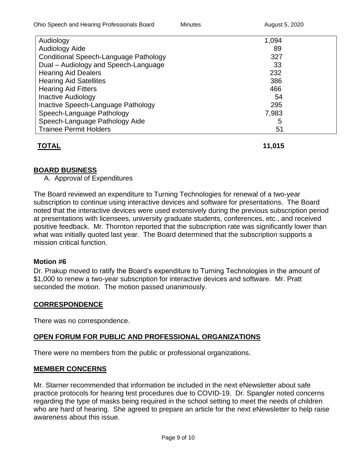| Audiology                             | 1,094 |  |
|---------------------------------------|-------|--|
| <b>Audiology Aide</b>                 | 89    |  |
| Conditional Speech-Language Pathology | 327   |  |
| Dual - Audiology and Speech-Language  | 33    |  |
| <b>Hearing Aid Dealers</b>            | 232   |  |
| <b>Hearing Aid Satellites</b>         | 386   |  |
| <b>Hearing Aid Fitters</b>            | 466   |  |
| <b>Inactive Audiology</b>             | 54    |  |
| Inactive Speech-Language Pathology    | 295   |  |
| Speech-Language Pathology             | 7,983 |  |
| Speech-Language Pathology Aide        | 5     |  |
| <b>Trainee Permit Holders</b>         | 51    |  |

# **TOTAL 11,015**

# **BOARD BUSINESS**

A. Approval of Expenditures

The Board reviewed an expenditure to Turning Technologies for renewal of a two-year subscription to continue using interactive devices and software for presentations. The Board noted that the interactive devices were used extensively during the previous subscription period at presentations with licensees, university graduate students, conferences, etc., and received positive feedback. Mr. Thornton reported that the subscription rate was significantly lower than what was initially quoted last year. The Board determined that the subscription supports a mission critical function.

#### **Motion #6**

Dr. Prakup moved to ratify the Board's expenditure to Turning Technologies in the amount of \$1,000 to renew a two-year subscription for interactive devices and software. Mr. Pratt seconded the motion. The motion passed unanimously.

# **CORRESPONDENCE**

There was no correspondence.

# **OPEN FORUM FOR PUBLIC AND PROFESSIONAL ORGANIZATIONS**

There were no members from the public or professional organizations.

#### **MEMBER CONCERNS**

Mr. Starner recommended that information be included in the next eNewsletter about safe practice protocols for hearing test procedures due to COVID-19. Dr. Spangler noted concerns regarding the type of masks being required in the school setting to meet the needs of children who are hard of hearing. She agreed to prepare an article for the next eNewsletter to help raise awareness about this issue.